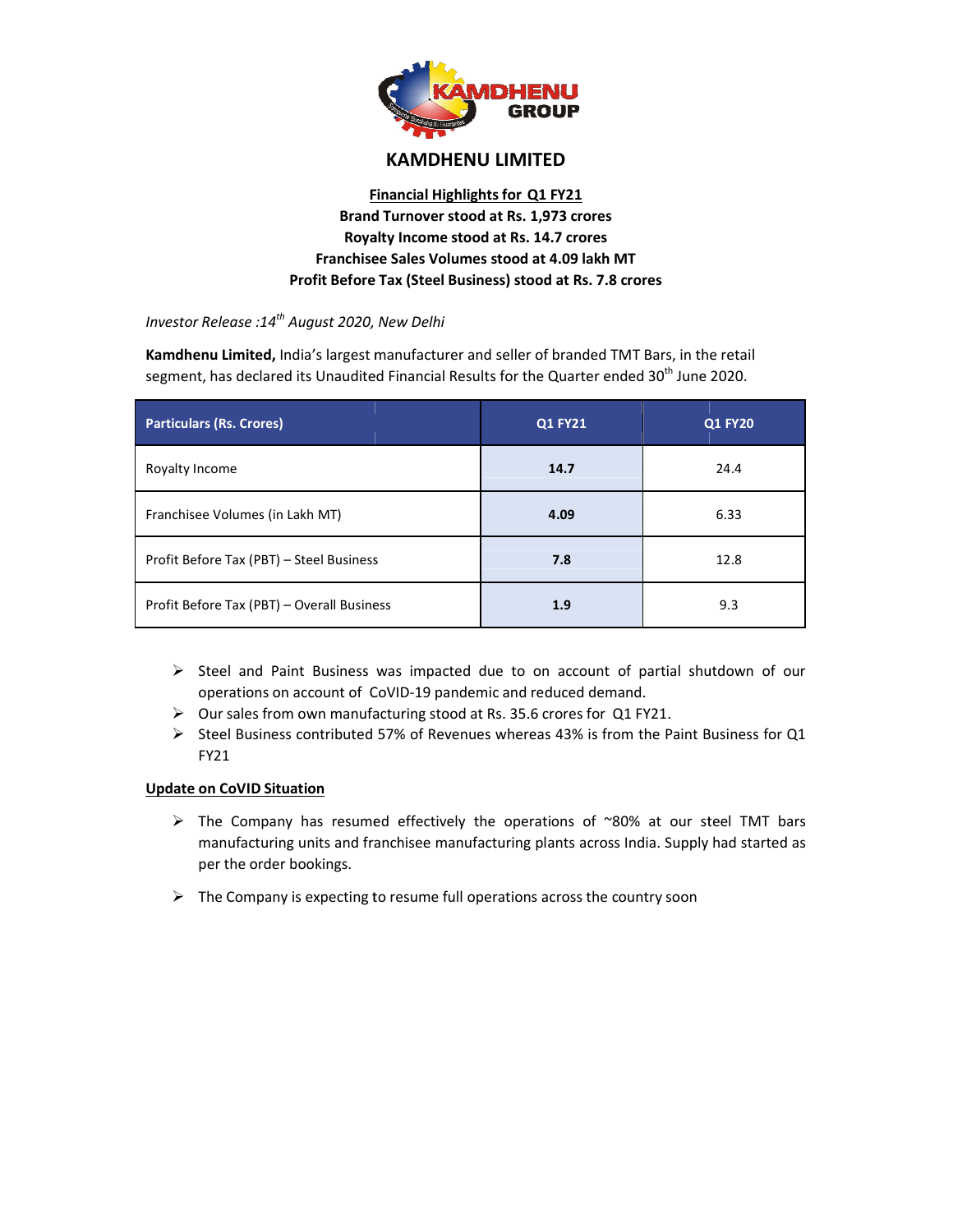

# **KAMDHENU LIMITED**

## **Financial Highlights for Q1 FY21 Brand Turnover stood at Rs. 1,973 crores Royalty Income stood at Rs. 14.7 crores Franchisee Sales Volumes stood at 4.09 lakh MT Sales Profit Before Tax (Steel Business) stood at Rs. 7.8 crores**

*Investor Release :14th August 2020, New Delhi*

**Kamdhenu Limited,** India's largest manufacturer and seller of branded TMT Bars, in the retail segment, has declared its Unaudited Financial Results for the Quarter ended 30<sup>th</sup> June 2020.

| segment, has declared its Unaudited Financial Results for the Quarter ended 30 <sup>th</sup> June 2020.                                                                                                                                                                                                                                                                                                                                                                                                                                                                                                                       |                                                                                             |                |  |
|-------------------------------------------------------------------------------------------------------------------------------------------------------------------------------------------------------------------------------------------------------------------------------------------------------------------------------------------------------------------------------------------------------------------------------------------------------------------------------------------------------------------------------------------------------------------------------------------------------------------------------|---------------------------------------------------------------------------------------------|----------------|--|
| <b>Particulars (Rs. Crores)</b>                                                                                                                                                                                                                                                                                                                                                                                                                                                                                                                                                                                               | <b>Q1 FY21</b>                                                                              | <b>Q1 FY20</b> |  |
| Royalty Income                                                                                                                                                                                                                                                                                                                                                                                                                                                                                                                                                                                                                | 14.7                                                                                        | 24.4           |  |
| Franchisee Volumes (in Lakh MT)                                                                                                                                                                                                                                                                                                                                                                                                                                                                                                                                                                                               | 4.09                                                                                        | 6.33           |  |
| Profit Before Tax (PBT) - Steel Business                                                                                                                                                                                                                                                                                                                                                                                                                                                                                                                                                                                      | 7.8                                                                                         | 12.8           |  |
| Profit Before Tax (PBT) - Overall Business                                                                                                                                                                                                                                                                                                                                                                                                                                                                                                                                                                                    | 1.9                                                                                         | 9.3            |  |
| $\triangleright$ Steel and Paint Business was impacted due to on account of partial shutdown of our<br>operations on account of CoVID-19 pandemic and reduced demand.<br>> Our sales from own manufacturing stood at Rs. 35.6 crores for Q1 FY21.<br>Steel Business contributed 57% of Revenues whereas 43% is from the Paint Business for Q1<br>➤<br>FY21<br><b>Update on CoVID Situation</b><br>$\triangleright$ The Company has resumed effectively the operations of ~80% at our steel TMT bars<br>manufacturing units and franchisee manufacturing plants across India. Supply had started as<br>per the order bookings. |                                                                                             |                |  |
|                                                                                                                                                                                                                                                                                                                                                                                                                                                                                                                                                                                                                               | $\triangleright$ The Company is expecting to resume full operations across the country soon |                |  |

- $\triangleright$  Steel and Paint Business was impacted due to on account of partial shutdown of our Steel and Paint Business was impacted due to on account of pa<br>operations on account of CoVID-19 pandemic and reduced demand.
- $\triangleright$  Our sales from own manufacturing stood at Rs. 35.6 crores for Q1 FY21.
- > Our sales from own manufacturing stood at Rs. 35.6 crores for Q1 FY21.<br>→ Steel Business contributed 57% of Revenues whereas 43% is from the Paint Business for Q1 FY21 and Paint Business was impacted due to on account of partial shutdown<br>tions on account of CoVID-19 pandemic and reduced demand.<br>Iles from own manufacturing stood at Rs. 35.6 crores for Q1 FY21.<br>Business contributed 57% of

### **Update on CoVID Situation**

- $\triangleright$  The Company has resumed effectively the operations of ~80% at our steel TMT bars manufacturing units and franchisee manufacturing plants across India. Supply had started as per the order bookings.
- $\triangleright$  The Company is expecting to resume full operations across the country soon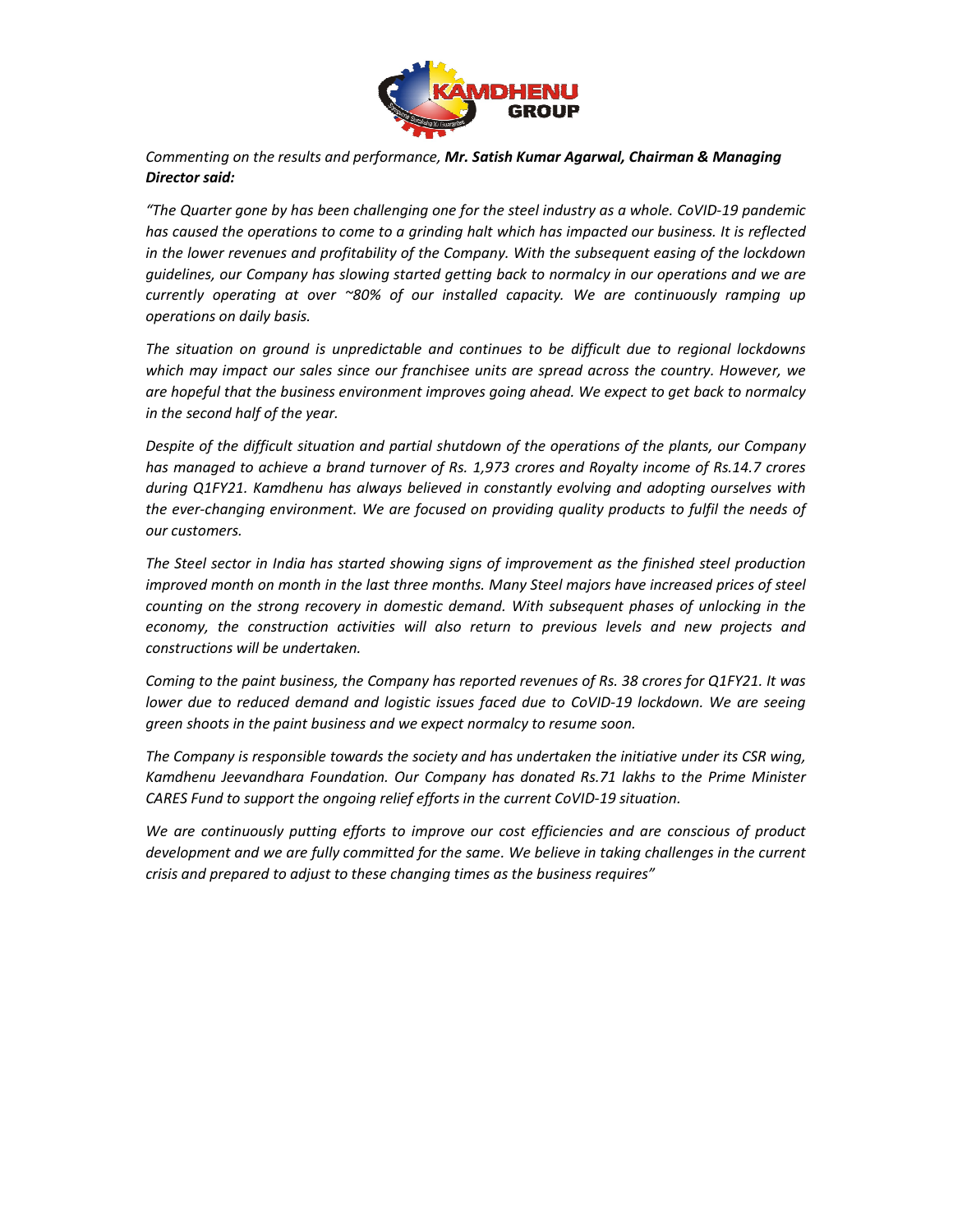

### *Commenting on the results and performance, Mr. Satish Kumar Agarwal, Chairman & Managing Satish Director said:*

*"The Quarter gone by has been challenging one for the steel industry as a whole. CoVID The Quarter gone by has been challenging one for the steel industry as a whole. CoVID-19 pandemic has caused the operations to come to a grinding halt which The by to has impacted our business. It is reflected in the lower revenues and profitability of the Company. With the subsequent easing of the lockdown guidelines, our Company has slowing started getting back to normalcy in our operations and we are currently operating at over ~80% of our installed capacity. We are continuously ramping up operations on daily basis. The situation on the lower revenues and profitability of the Company. With the subsequent easing of the lockdown*<br>guidelines, our Company has slowing started getting back to normalcy in our operations and we are<br>currently

*which may impact our sales since our franchisee units are spread across the country. However, we*  are hopeful that the business environment improves going ahead. We expect to get back to normalcy<br>in the second half of the year.<br>Despite of the difficult situation and partial shutdown of the operations of the plants, our *in the second half of the year.* 

*Despite of the difficult situation and partial shutdown of the operations of the plan has managed to achieve a brand turnover of Rs. 1,973 crores and Royalty income of Rs.14.7 crores during Q1FY21. Kamdhenu has always believed in constantly evolving and adopting ourselves with*  has managed to achieve a brand turnover of Rs. 1,973 crores and Royalty income of Rs.14.7 crores<br>during Q1FY21. Kamdhenu has always believed in constantly evolving and adopting ourselves with<br>the ever-changing environment. *our customers. in the lower revenues and profitability of the Company. With the subsequent easing of the lockdown* guidelines, our Company has slowing started getting back to normalcy in our operations and we are currently operation on

*The Steel sector in India has started showing signs of improvement as the finished steel production improved month on month in the last three months. Many Steel majors have increased prices of steel counting on the strong improved month on month in the last three months. Many Steel majors have increased prices of steel counting on the strong recovery in domestic demand. With subsequent phases of unlocking in the economy, the construction activities will also return to previous levels and new projects and constructions will be undertaken.* 

*Coming to the paint business, the Company has reported revenues of Rs. 38 crores for Q1FY21. It was lower due to reduced demand and logistic issues faced due to CoVID-19 lockdown. We are seeing green shoots in the paint business and we expect normalcy to resume soon. counting on the strong recovery in domestic demand. With subsequent phases ceconomy, the construction activities will also return to previous levels and constructions will be undertaken.*<br>*Coming to the paint business, th* 

*The Company is responsible towards the society and has undertaken the initiative under its CSR wing, Kamdhenu Jeevandhara Foundation. Our Company has donated Rs.71 lakhs to the Prime Minister*  CARES Fund to support the ongoing relief efforts in the current CoVID-19 situation.

*We are continuously putting efforts to improve our cost efficiencies and are conscious of product development and we are fully committed for the same. We believe in taking challenges in the current crisis and prepared to adjust to these changing t* continuously putting efforts to improve our cost efficiencies and are<br>ment and we are fully committed for the same. We believe in taking ch<br>d prepared to adjust to these changing times as the business requires"